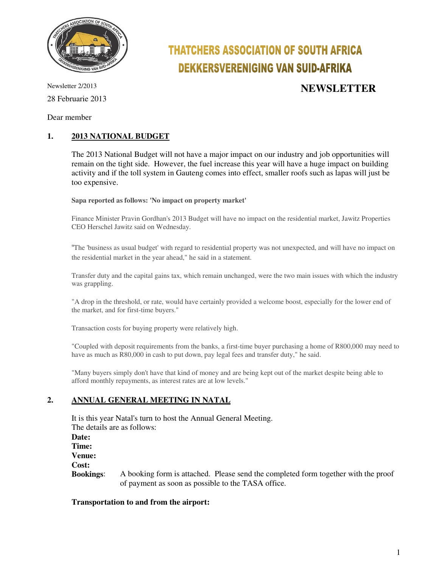

# **THATCHERS ASSOCIATION OF SOUTH AFRICA DEKKERSVERENIGING VAN SUID-AFRIKA**

28 Februarie 2013

## Newsletter 2/2013 **NEWSLETTER**

Dear member

#### **1. 2013 NATIONAL BUDGET**

The 2013 National Budget will not have a major impact on our industry and job opportunities will remain on the tight side. However, the fuel increase this year will have a huge impact on building activity and if the toll system in Gauteng comes into effect, smaller roofs such as lapas will just be too expensive.

**Sapa reported as follows: 'No impact on property market'** 

Finance Minister Pravin Gordhan's 2013 Budget will have no impact on the residential market, Jawitz Properties CEO Herschel Jawitz said on Wednesday.

"The 'business as usual budget' with regard to residential property was not unexpected, and will have no impact on the residential market in the year ahead," he said in a statement.

Transfer duty and the capital gains tax, which remain unchanged, were the two main issues with which the industry was grappling.

"A drop in the threshold, or rate, would have certainly provided a welcome boost, especially for the lower end of the market, and for first-time buyers."

Transaction costs for buying property were relatively high.

"Coupled with deposit requirements from the banks, a first-time buyer purchasing a home of R800,000 may need to have as much as R80,000 in cash to put down, pay legal fees and transfer duty," he said.

"Many buyers simply don't have that kind of money and are being kept out of the market despite being able to afford monthly repayments, as interest rates are at low levels."

#### **2. ANNUAL GENERAL MEETING IN NATAL**

It is this year Natal's turn to host the Annual General Meeting. The details are as follows: **Date: Time: Venue: Cost: Bookings**: A booking form is attached. Please send the completed form together with the proof of payment as soon as possible to the TASA office.

#### **Transportation to and from the airport:**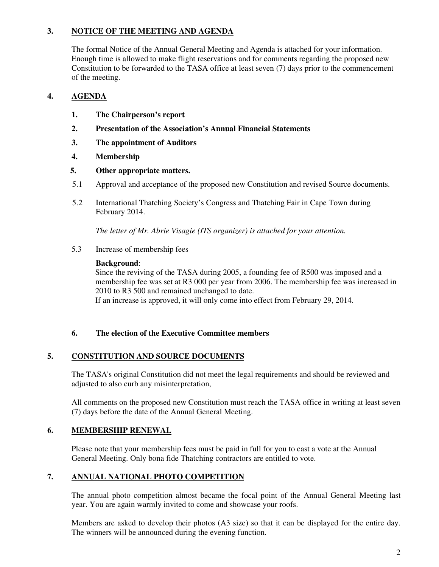#### **3. NOTICE OF THE MEETING AND AGENDA**

The formal Notice of the Annual General Meeting and Agenda is attached for your information. Enough time is allowed to make flight reservations and for comments regarding the proposed new Constitution to be forwarded to the TASA office at least seven (7) days prior to the commencement of the meeting.

#### **4. AGENDA**

- **1. The Chairperson's report**
- **2. Presentation of the Association's Annual Financial Statements**
- **3. The appointment of Auditors**
- **4. Membership**
- **5. Other appropriate matters.**
- 5.1 Approval and acceptance of the proposed new Constitution and revised Source documents.
- 5.2 International Thatching Society's Congress and Thatching Fair in Cape Town during February 2014.

*The letter of Mr. Abrie Visagie (ITS organizer) is attached for your attention.* 

5.3 Increase of membership fees

#### **Background**:

Since the reviving of the TASA during 2005, a founding fee of R500 was imposed and a membership fee was set at R3 000 per year from 2006. The membership fee was increased in 2010 to R3 500 and remained unchanged to date. If an increase is approved, it will only come into effect from February 29, 2014.

### **6. The election of the Executive Committee members**

#### **5. CONSTITUTION AND SOURCE DOCUMENTS**

The TASA's original Constitution did not meet the legal requirements and should be reviewed and adjusted to also curb any misinterpretation,

All comments on the proposed new Constitution must reach the TASA office in writing at least seven (7) days before the date of the Annual General Meeting.

#### **6. MEMBERSHIP RENEWAL**

Please note that your membership fees must be paid in full for you to cast a vote at the Annual General Meeting. Only bona fide Thatching contractors are entitled to vote.

#### **7. ANNUAL NATIONAL PHOTO COMPETITION**

The annual photo competition almost became the focal point of the Annual General Meeting last year. You are again warmly invited to come and showcase your roofs.

Members are asked to develop their photos (A3 size) so that it can be displayed for the entire day. The winners will be announced during the evening function.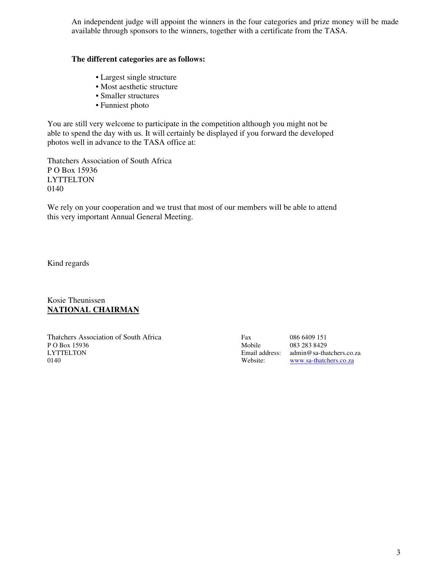An independent judge will appoint the winners in the four categories and prize money will be made available through sponsors to the winners, together with a certificate from the TASA.

#### **The different categories are as follows:**

- Largest single structure
- Most aesthetic structure
- Smaller structures
- Funniest photo

You are still very welcome to participate in the competition although you might not be able to spend the day with us. It will certainly be displayed if you forward the developed photos well in advance to the TASA office at:

Thatchers Association of South Africa P O Box 15936 **LYTTELTON** 0140

We rely on your cooperation and we trust that most of our members will be able to attend this very important Annual General Meeting.

Kind regards

Kosie Theunissen **NATIONAL CHAIRMAN**

Thatchers Association of South Africa Fax 086 6409 151<br>P O Box 15936 Mobile 083 283 8429 P O Box 15936 Mobile 083 283 8429 0140 Website: www.sa-thatchers.co.za

Email address: admin@sa-thatchers.co.za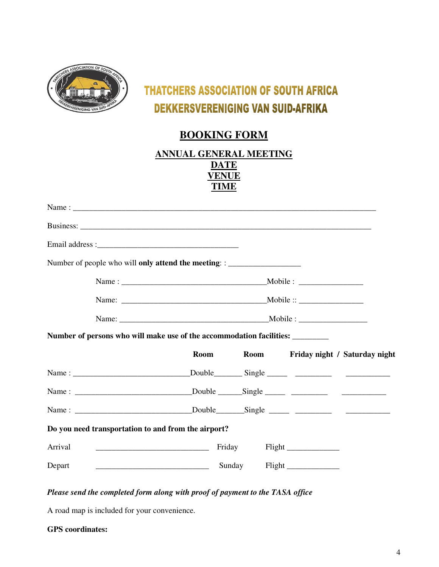

# **THATCHERS ASSOCIATION OF SOUTH AFRICA DEKKERSVERENIGING VAN SUID-AFRIKA**

## **BOOKING FORM**

| ANNUAL GENERAL MEETING |
|------------------------|
| DATE                   |
| VENUE                  |
| TIME                   |
|                        |

| Number of people who will only attend the meeting: : ___________________________ |  |        |                               |                                         |
|----------------------------------------------------------------------------------|--|--------|-------------------------------|-----------------------------------------|
|                                                                                  |  |        |                               |                                         |
|                                                                                  |  |        |                               |                                         |
|                                                                                  |  |        |                               |                                         |
| Number of persons who will make use of the accommodation facilities:             |  |        |                               |                                         |
|                                                                                  |  |        |                               | Room Room Friday night / Saturday night |
|                                                                                  |  |        |                               |                                         |
|                                                                                  |  |        |                               |                                         |
|                                                                                  |  |        |                               |                                         |
| Do you need transportation to and from the airport?                              |  |        |                               |                                         |
| Arrival                                                                          |  | Friday |                               |                                         |
| Depart                                                                           |  |        | Sunday Flight _______________ |                                         |

#### *Please send the completed form along with proof of payment to the TASA office*

A road map is included for your convenience.

|  | <b>GPS</b> coordinates: |
|--|-------------------------|
|--|-------------------------|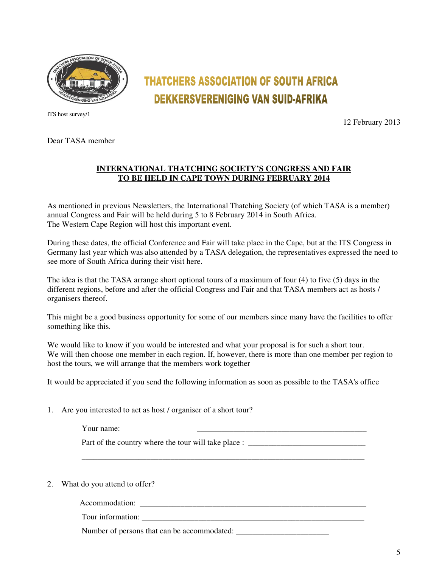

ITS host survey/1

# **DEKKERSVERENIGING VAN SUID-AFRIKA**

12 February 2013

Dear TASA member

#### **INTERNATIONAL THATCHING SOCIETY'S CONGRESS AND FAIR TO BE HELD IN CAPE TOWN DURING FEBRUARY 2014**

**THATCHERS ASSOCIATION OF SOUTH AFRICA** 

As mentioned in previous Newsletters, the International Thatching Society (of which TASA is a member) annual Congress and Fair will be held during 5 to 8 February 2014 in South Africa. The Western Cape Region will host this important event.

During these dates, the official Conference and Fair will take place in the Cape, but at the ITS Congress in Germany last year which was also attended by a TASA delegation, the representatives expressed the need to see more of South Africa during their visit here.

The idea is that the TASA arrange short optional tours of a maximum of four (4) to five (5) days in the different regions, before and after the official Congress and Fair and that TASA members act as hosts / organisers thereof.

This might be a good business opportunity for some of our members since many have the facilities to offer something like this.

We would like to know if you would be interested and what your proposal is for such a short tour. We will then choose one member in each region. If, however, there is more than one member per region to host the tours, we will arrange that the members work together

It would be appreciated if you send the following information as soon as possible to the TASA's office

1. Are you interested to act as host / organiser of a short tour?

Your name:  $\frac{1}{2}$  and  $\frac{1}{2}$  and  $\frac{1}{2}$  and  $\frac{1}{2}$  and  $\frac{1}{2}$  and  $\frac{1}{2}$  and  $\frac{1}{2}$  and  $\frac{1}{2}$  and  $\frac{1}{2}$  and  $\frac{1}{2}$  and  $\frac{1}{2}$  and  $\frac{1}{2}$  and  $\frac{1}{2}$  and  $\frac{1}{2}$  and  $\frac{1}{2}$  and

Part of the country where the tour will take place : \_\_\_\_\_\_\_\_\_\_\_\_\_\_\_\_\_\_\_\_\_\_\_\_\_\_\_

\_\_\_\_\_\_\_\_\_\_\_\_\_\_\_\_\_\_\_\_\_\_\_\_\_\_\_\_\_\_\_\_\_\_\_\_\_\_\_\_\_\_\_\_\_\_\_\_\_\_\_\_\_\_\_\_\_\_\_\_\_\_\_\_\_\_\_\_\_\_

2. What do you attend to offer?

Accommodation: \_\_\_\_\_\_\_\_\_\_\_\_\_\_\_\_\_\_\_\_\_\_\_\_\_\_\_\_\_\_\_\_\_\_\_\_\_\_\_\_\_\_\_\_\_\_\_\_\_\_\_\_\_\_\_\_

Tour information:

Number of persons that can be accommodated: